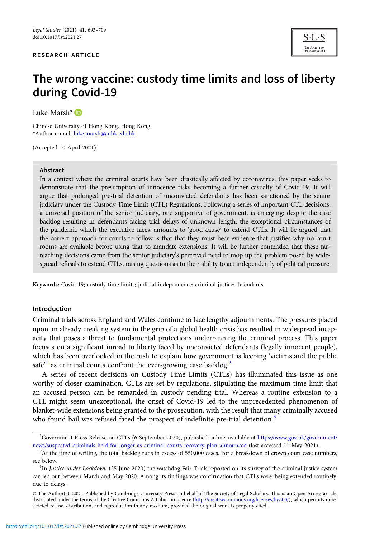### RESEARCH ARTICLE

THE SOCIETY O

# The wrong vaccine: custody time limits and loss of liberty during Covid-19

Luke Marsh<sup>\*</sup>

Chinese University of Hong Kong, Hong Kong \*Author e-mail: [luke.marsh@cuhk.edu.hk](mailto:luke.marsh@cuhk.edu.hk)

(Accepted 10 April 2021)

#### Abstract

In a context where the criminal courts have been drastically affected by coronavirus, this paper seeks to demonstrate that the presumption of innocence risks becoming a further casualty of Covid-19. It will argue that prolonged pre-trial detention of unconvicted defendants has been sanctioned by the senior judiciary under the Custody Time Limit (CTL) Regulations. Following a series of important CTL decisions, a universal position of the senior judiciary, one supportive of government, is emerging: despite the case backlog resulting in defendants facing trial delays of unknown length, the exceptional circumstances of the pandemic which the executive faces, amounts to 'good cause' to extend CTLs. It will be argued that the correct approach for courts to follow is that that they must hear evidence that justifies why no court rooms are available before using that to mandate extensions. It will be further contended that these farreaching decisions came from the senior judiciary's perceived need to mop up the problem posed by widespread refusals to extend CTLs, raising questions as to their ability to act independently of political pressure.

Keywords: Covid-19; custody time limits; judicial independence; criminal justice; defendants

#### Introduction

Criminal trials across England and Wales continue to face lengthy adjournments. The pressures placed upon an already creaking system in the grip of a global health crisis has resulted in widespread incapacity that poses a threat to fundamental protections underpinning the criminal process. This paper focuses on a significant inroad to liberty faced by unconvicted defendants (legally innocent people), which has been overlooked in the rush to explain how government is keeping 'victims and the public safe<sup>21</sup> as criminal courts confront the ever-growing case backlog.<sup>2</sup>

A series of recent decisions on Custody Time Limits (CTLs) has illuminated this issue as one worthy of closer examination. CTLs are set by regulations, stipulating the maximum time limit that an accused person can be remanded in custody pending trial. Whereas a routine extension to a CTL might seem unexceptional, the onset of Covid-19 led to the unprecedented phenomenon of blanket-wide extensions being granted to the prosecution, with the result that many criminally accused who found bail was refused faced the prospect of indefinite pre-trial detention.<sup>3</sup>

<sup>1</sup> Government Press Release on CTLs (6 September 2020), published online, available at [https://www.gov.uk/government/](https://www.gov.uk/government/news/suspected-criminals-held-for-longer-as-criminal-courts-recovery-plan-announced) [news/suspected-criminals-held-for-longer-as-criminal-courts-recovery-plan-announced](https://www.gov.uk/government/news/suspected-criminals-held-for-longer-as-criminal-courts-recovery-plan-announced) (last accessed 11 May 2021). <sup>2</sup>

 $A$ t the time of writing, the total backlog runs in excess of 550,000 cases. For a breakdown of crown court case numbers, see below.

 ${}^{3}$ In *Justice under Lockdown* (25 June 2020) the watchdog Fair Trials reported on its survey of the criminal justice system carried out between March and May 2020. Among its findings was confirmation that CTLs were 'being extended routinely' due to delays.

<sup>©</sup> The Author(s), 2021. Published by Cambridge University Press on behalf of The Society of Legal Scholars. This is an Open Access article, distributed under the terms of the Creative Commons Attribution licence [\(http://creativecommons.org/licenses/by/4.0/\)](http://creativecommons.org/licenses/by/4.0/), which permits unrestricted re-use, distribution, and reproduction in any medium, provided the original work is properly cited.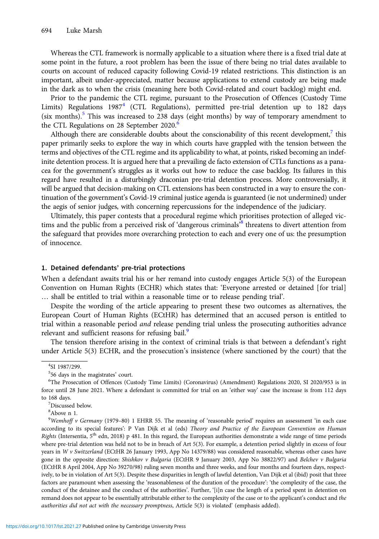Whereas the CTL framework is normally applicable to a situation where there is a fixed trial date at some point in the future, a root problem has been the issue of there being no trial dates available to courts on account of reduced capacity following Covid-19 related restrictions. This distinction is an important, albeit under-appreciated, matter because applications to extend custody are being made in the dark as to when the crisis (meaning here both Covid-related and court backlog) might end.

Prior to the pandemic the CTL regime, pursuant to the Prosecution of Offences (Custody Time Limits) Regulations  $1987<sup>4</sup>$  (CTL Regulations), permitted pre-trial detention up to 182 days (six months).<sup>5</sup> This was increased to 238 days (eight months) by way of temporary amendment to the CTL Regulations on 28 September 2020.<sup>6</sup>

Although there are considerable doubts about the conscionability of this recent development, $^7$  this paper primarily seeks to explore the way in which courts have grappled with the tension between the terms and objectives of the CTL regime and its applicability to what, at points, risked becoming an indefinite detention process. It is argued here that a prevailing de facto extension of CTLs functions as a panacea for the government's struggles as it works out how to reduce the case backlog. Its failures in this regard have resulted in a disturbingly draconian pre-trial detention process. More controversially, it will be argued that decision-making on CTL extensions has been constructed in a way to ensure the continuation of the government's Covid-19 criminal justice agenda is guaranteed (ie not undermined) under the aegis of senior judges, with concerning repercussions for the independence of the judiciary.

Ultimately, this paper contests that a procedural regime which prioritises protection of alleged victims and the public from a perceived risk of 'dangerous criminals<sup>'8</sup> threatens to divert attention from the safeguard that provides more overarching protection to each and every one of us: the presumption of innocence.

#### 1. Detained defendants' pre-trial protections

When a defendant awaits trial his or her remand into custody engages Article 5(3) of the European Convention on Human Rights (ECHR) which states that: 'Everyone arrested or detained [for trial] … shall be entitled to trial within a reasonable time or to release pending trial'.

Despite the wording of the article appearing to present these two outcomes as alternatives, the European Court of Human Rights (ECtHR) has determined that an accused person is entitled to trial within a reasonable period and release pending trial unless the prosecuting authorities advance relevant and sufficient reasons for refusing bail.<sup>9</sup>

The tension therefore arising in the context of criminal trials is that between a defendant's right under Article 5(3) ECHR, and the prosecution's insistence (where sanctioned by the court) that the

<sup>4</sup> SI 1987/299.

 $^{5}$ 56 days in the magistrates' court.<br><sup>6</sup>The Prosecution of Offences (Cu

<sup>&</sup>lt;sup>6</sup>The Prosecution of Offences (Custody Time Limits) (Coronavirus) (Amendment) Regulations 2020, SI 2020/953 is in force until 28 June 2021. Where a defendant is committed for trial on an 'either way' case the increase is from 112 days to 168 days.

Discussed below.

<sup>8</sup> Above n 1.

<sup>&</sup>lt;sup>9</sup>Wemhoff v Germany (1979–80) 1 EHRR 55. The meaning of 'reasonable period' requires an assessment 'in each case according to its special features': P Van Dijk et al (eds) Theory and Practice of the European Convention on Human *Rights* (Intersentia,  $5<sup>th</sup>$  edn, 2018) p 481. In this regard, the European authorities demonstrate a wide range of time periods where pre-trial detention was held not to be in breach of Art 5(3). For example, a detention period slightly in excess of four years in W v Switzerland (ECtHR 26 January 1993, App No 14379/88) was considered reasonable, whereas other cases have gone in the opposite direction: Shishkov v Bulgaria (ECtHR 9 January 2003, App No 38822/97) and Belchev v Bulgaria (ECtHR 8 April 2004, App No 39270/98) ruling seven months and three weeks, and four months and fourteen days, respectively, to be in violation of Art 5(3). Despite these disparities in length of lawful detention, Van Dijk et al (ibid) posit that three factors are paramount when assessing the 'reasonableness of the duration of the procedure': 'the complexity of the case, the conduct of the detainee and the conduct of the authorities'. Further, '[i]n case the length of a period spent in detention on remand does not appear to be essentially attributable either to the complexity of the case or to the applicant's conduct and the authorities did not act with the necessary promptness, Article 5(3) is violated' (emphasis added).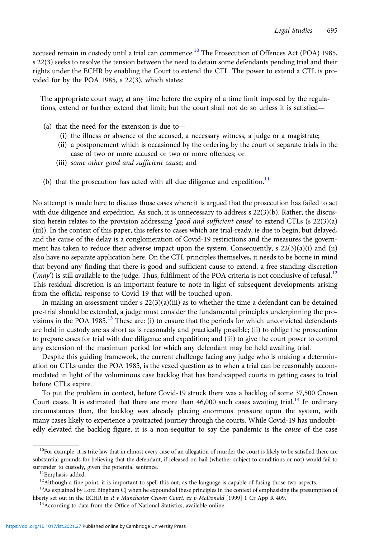accused remain in custody until a trial can commence.<sup>10</sup> The Prosecution of Offences Act (POA) 1985, s 22(3) seeks to resolve the tension between the need to detain some defendants pending trial and their rights under the ECHR by enabling the Court to extend the CTL. The power to extend a CTL is provided for by the POA 1985, s 22(3), which states:

The appropriate court *may*, at any time before the expiry of a time limit imposed by the regulations, extend or further extend that limit; but the court shall not do so unless it is satisfied—

- (a) that the need for the extension is due to—
	- (i) the illness or absence of the accused, a necessary witness, a judge or a magistrate;
	- (ii) a postponement which is occasioned by the ordering by the court of separate trials in the case of two or more accused or two or more offences; or
	- (iii) some other good and sufficient cause; and
- (b) that the prosecution has acted with all due diligence and expedition.<sup>11</sup>

No attempt is made here to discuss those cases where it is argued that the prosecution has failed to act with due diligence and expedition. As such, it is unnecessary to address s 22(3)(b). Rather, the discussion herein relates to the provision addressing '*good and sufficient cause*' to extend CTLs (s 22(3)(a) (iii)). In the context of this paper, this refers to cases which are trial-ready, ie due to begin, but delayed, and the cause of the delay is a conglomeration of Covid-19 restrictions and the measures the government has taken to reduce their adverse impact upon the system. Consequently, s 22(3)(a)(i) and (ii) also have no separate application here. On the CTL principles themselves, it needs to be borne in mind that beyond any finding that there is good and sufficient cause to extend, a free-standing discretion ('may') is still available to the judge. Thus, fulfilment of the POA criteria is not conclusive of refusal.<sup>12</sup> This residual discretion is an important feature to note in light of subsequent developments arising from the official response to Covid-19 that will be touched upon.

In making an assessment under s  $22(3)(a)(iii)$  as to whether the time a defendant can be detained pre-trial should be extended, a judge must consider the fundamental principles underpinning the provisions in the POA 1985.<sup>13</sup> These are: (i) to ensure that the periods for which unconvicted defendants are held in custody are as short as is reasonably and practically possible; (ii) to oblige the prosecution to prepare cases for trial with due diligence and expedition; and (iii) to give the court power to control any extension of the maximum period for which any defendant may be held awaiting trial.

Despite this guiding framework, the current challenge facing any judge who is making a determination on CTLs under the POA 1985, is the vexed question as to when a trial can be reasonably accommodated in light of the voluminous case backlog that has handicapped courts in getting cases to trial before CTLs expire.

To put the problem in context, before Covid-19 struck there was a backlog of some 37,500 Crown Court cases. It is estimated that there are more than  $46,000$  such cases awaiting trial.<sup>14</sup> In ordinary circumstances then, the backlog was already placing enormous pressure upon the system, with many cases likely to experience a protracted journey through the courts. While Covid-19 has undoubtedly elevated the backlog figure, it is a non-sequitur to say the pandemic is the cause of the case

<sup>&</sup>lt;sup>10</sup>For example, it is trite law that in almost every case of an allegation of murder the court is likely to be satisfied there are substantial grounds for believing that the defendant, if released on bail (whether subject to conditions or not) would fail to surrender to custody, given the potential sentence.  ${}^{11}\mathrm{Emb}$  as added.

<sup>&</sup>lt;sup>12</sup>Although a fine point, it is important to spell this out, as the language is capable of fusing those two aspects.

<sup>&</sup>lt;sup>13</sup>As explained by Lord Bingham CJ when he expounded these principles in the context of emphasising the presumption of liberty set out in the ECHR in R v Manchester Crown Court, ex p McDonald [1999] 1 Cr App R 409. <sup>14</sup>According to data from the Office of National Statistics, available online.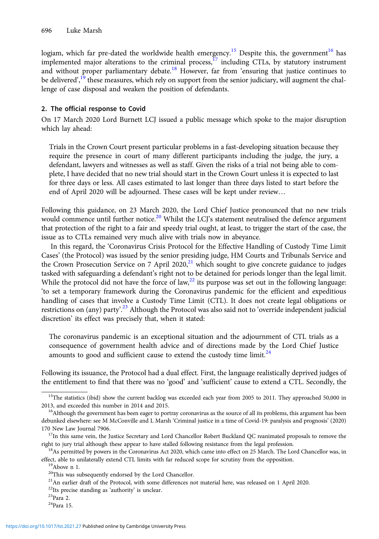logjam, which far pre-dated the worldwide health emergency.<sup>15</sup> Despite this, the government<sup>16</sup> has implemented major alterations to the criminal process, $17$  including CTLs, by statutory instrument and without proper parliamentary debate.<sup>18</sup> However, far from 'ensuring that justice continues to be delivered',<sup>19</sup> these measures, which rely on support from the senior judiciary, will augment the challenge of case disposal and weaken the position of defendants.

# 2. The official response to Covid

On 17 March 2020 Lord Burnett LCJ issued a public message which spoke to the major disruption which lay ahead:

Trials in the Crown Court present particular problems in a fast-developing situation because they require the presence in court of many different participants including the judge, the jury, a defendant, lawyers and witnesses as well as staff. Given the risks of a trial not being able to complete, I have decided that no new trial should start in the Crown Court unless it is expected to last for three days or less. All cases estimated to last longer than three days listed to start before the end of April 2020 will be adjourned. These cases will be kept under review…

Following this guidance, on 23 March 2020, the Lord Chief Justice pronounced that no new trials would commence until further notice.<sup>20</sup> Whilst the LCJ's statement neutralised the defence argument that protection of the right to a fair and speedy trial ought, at least, to trigger the start of the case, the issue as to CTLs remained very much alive with trials now in abeyance.

In this regard, the 'Coronavirus Crisis Protocol for the Effective Handling of Custody Time Limit Cases' (the Protocol) was issued by the senior presiding judge, HM Courts and Tribunals Service and the Crown Prosecution Service on 7 April 2020,<sup>21</sup> which sought to give concrete guidance to judges tasked with safeguarding a defendant's right not to be detained for periods longer than the legal limit. While the protocol did not have the force of law, $^{22}$  its purpose was set out in the following language: 'to set a temporary framework during the Coronavirus pandemic for the efficient and expeditious handling of cases that involve a Custody Time Limit (CTL). It does not create legal obligations or restrictions on (any) party'.<sup>23</sup> Although the Protocol was also said not to 'override independent judicial discretion' its effect was precisely that, when it stated:

The coronavirus pandemic is an exceptional situation and the adjournment of CTL trials as a consequence of government health advice and of directions made by the Lord Chief Justice amounts to good and sufficient cause to extend the custody time  $\lim_{\lambda \to 4} 24$ 

Following its issuance, the Protocol had a dual effect. First, the language realistically deprived judges of the entitlement to find that there was no 'good' and 'sufficient' cause to extend a CTL. Secondly, the

<sup>&</sup>lt;sup>15</sup>The statistics (ibid) show the current backlog was exceeded each year from 2005 to 2011. They approached 50,000 in 2013, and exceeded this number in 2014 and 2015.<br><sup>16</sup>Although the government has been eager to portray coronavirus as the source of all its problems, this argument has been

debunked elsewhere: see M McConville and L Marsh 'Criminal justice in a time of Covid-19: paralysis and prognosis' (2020) 170 New Law Journal 7906.<br><sup>17</sup>In this same vein, the Justice Secretary and Lord Chancellor Robert Buckland QC reanimated proposals to remove the

right to jury trial although these appear to have stalled following resistance from the legal profession. 18As permitted by powers in the Coronavirus Act 2020, which came into effect on 25 March. The Lord Chancellor was, in

effect, able to unilaterally extend CTL limits with far reduced scope for scrutiny from the opposition. <sup>19</sup>Above n 1.

 $^{20}\!$  This was subsequently endorsed by the Lord Chancellor.

<sup>&</sup>lt;sup>21</sup>An earlier draft of the Protocol, with some differences not material here, was released on 1 April 2020.

 $^{22}\rm{Its}$  precise standing as 'authority' is unclear.  $^{23}\rm{Para}$  2.

<sup>24</sup>Para 15.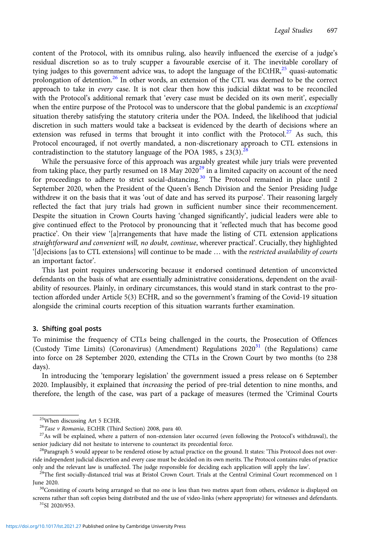content of the Protocol, with its omnibus ruling, also heavily influenced the exercise of a judge's residual discretion so as to truly scupper a favourable exercise of it. The inevitable corollary of tying judges to this government advice was, to adopt the language of the ECtHR, $^{25}$  quasi-automatic prolongation of detention.<sup>26</sup> In other words, an extension of the CTL was deemed to be the correct approach to take in every case. It is not clear then how this judicial diktat was to be reconciled with the Protocol's additional remark that 'every case must be decided on its own merit', especially when the entire purpose of the Protocol was to underscore that the global pandemic is an exceptional situation thereby satisfying the statutory criteria under the POA. Indeed, the likelihood that judicial discretion in such matters would take a backseat is evidenced by the dearth of decisions where an extension was refused in terms that brought it into conflict with the Protocol.<sup>27</sup> As such, this Protocol encouraged, if not overtly mandated, a non-discretionary approach to CTL extensions in contradistinction to the statutory language of the POA 1985, s  $23(3)$ .<sup>28</sup>

While the persuasive force of this approach was arguably greatest while jury trials were prevented from taking place, they partly resumed on 18 May 2020<sup>29</sup> in a limited capacity on account of the need for proceedings to adhere to strict social-distancing.<sup>30</sup> The Protocol remained in place until 2 September 2020, when the President of the Queen's Bench Division and the Senior Presiding Judge withdrew it on the basis that it was 'out of date and has served its purpose'. Their reasoning largely reflected the fact that jury trials had grown in sufficient number since their recommencement. Despite the situation in Crown Courts having 'changed significantly', judicial leaders were able to give continued effect to the Protocol by pronouncing that it 'reflected much that has become good practice'. On their view '[a]rrangements that have made the listing of CTL extension applications straightforward and convenient will, no doubt, continue, wherever practical'. Crucially, they highlighted '[d]ecisions [as to CTL extensions] will continue to be made … with the restricted availability of courts an important factor'.

This last point requires underscoring because it endorsed continued detention of unconvicted defendants on the basis of what are essentially administrative considerations, dependent on the availability of resources. Plainly, in ordinary circumstances, this would stand in stark contrast to the protection afforded under Article 5(3) ECHR, and so the government's framing of the Covid-19 situation alongside the criminal courts reception of this situation warrants further examination.

# 3. Shifting goal posts

To minimise the frequency of CTLs being challenged in the courts, the Prosecution of Offences (Custody Time Limits) (Coronavirus) (Amendment) Regulations  $2020<sup>31</sup>$  (the Regulations) came into force on 28 September 2020, extending the CTLs in the Crown Court by two months (to 238 days).

In introducing the 'temporary legislation' the government issued a press release on 6 September 2020. Implausibly, it explained that *increasing* the period of pre-trial detention to nine months, and therefore, the length of the case, was part of a package of measures (termed the 'Criminal Courts

screens rather than soft copies being distributed and the use of video-links (where appropriate) for witnesses and defendants.<br><sup>31</sup>SI 2020/953.

<sup>&</sup>lt;sup>25</sup>When discussing Art 5 ECHR.<br><sup>26</sup>Tase v Romania, ECtHR (Third Section) 2008, para 40.

 $27$ As will be explained, where a pattern of non-extension later occurred (even following the Protocol's withdrawal), the

senior judiciary did not hesitate to intervene to counteract its precedential force.<br><sup>28</sup>Paragraph 5 would appear to be rendered otiose by actual practice on the ground. It states: 'This Protocol does not override independent judicial discretion and every case must be decided on its own merits. The Protocol contains rules of practice

only and the relevant law is unaffected. The judge responsible for deciding each application will apply the law'.<br><sup>29</sup>The first socially-distanced trial was at Bristol Crown Court. Trials at the Central Criminal Court reco June 2020.<br><sup>30</sup>Consisting of courts being arranged so that no one is less than two metres apart from others, evidence is displayed on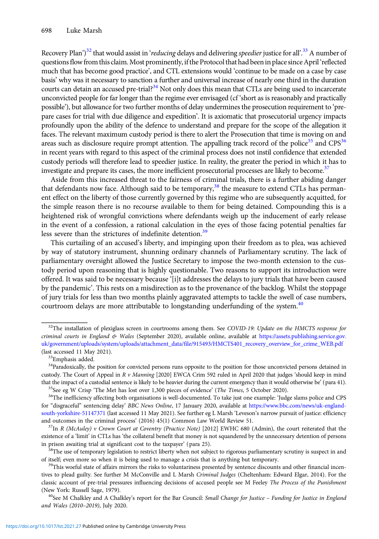Recovery Plan')<sup>32</sup> that would assist in '*reducing* delays and delivering *speedier* justice for all'.<sup>33</sup> A number of questions flow from this claim. Most prominently, if the Protocol that had been in place since April 'reflected much that has become good practice', and CTL extensions would 'continue to be made on a case by case basis' why was it necessary to sanction a further and universal increase of nearly one third in the duration courts can detain an accused pre-trial?<sup>34</sup> Not only does this mean that CTLs are being used to incarcerate unconvicted people for far longer than the regime ever envisaged (cf 'short as is reasonably and practically possible'), but allowance for two further months of delay undermines the prosecution requirement to 'prepare cases for trial with due diligence and expedition'. It is axiomatic that prosecutorial urgency impacts profoundly upon the ability of the defence to understand and prepare for the scope of the allegation it faces. The relevant maximum custody period is there to alert the Prosecution that time is moving on and areas such as disclosure require prompt attention. The appalling track record of the police<sup>35</sup> and CPS<sup>36</sup> in recent years with regard to this aspect of the criminal process does not instil confidence that extended custody periods will therefore lead to speedier justice. In reality, the greater the period in which it has to investigate and prepare its cases, the more inefficient prosecutorial processes are likely to become.<sup>37</sup>

Aside from this increased threat to the fairness of criminal trials, there is a further abiding danger that defendants now face. Although said to be temporary,  $38$  the measure to extend CTLs has permanent effect on the liberty of those currently governed by this regime who are subsequently acquitted, for the simple reason there is no recourse available to them for being detained. Compounding this is a heightened risk of wrongful convictions where defendants weigh up the inducement of early release in the event of a confession, a rational calculation in the eyes of those facing potential penalties far less severe than the strictures of indefinite detention.<sup>39</sup>

This curtailing of an accused's liberty, and impinging upon their freedom as to plea, was achieved by way of statutory instrument, shunning ordinary channels of Parliamentary scrutiny. The lack of parliamentary oversight allowed the Justice Secretary to impose the two-month extension to the custody period upon reasoning that is highly questionable. Two reasons to support its introduction were offered. It was said to be necessary because '[i]t addresses the delays to jury trials that have been caused by the pandemic'. This rests on a misdirection as to the provenance of the backlog. Whilst the stoppage of jury trials for less than two months plainly aggravated attempts to tackle the swell of case numbers, courtroom delays are more attributable to longstanding underfunding of the system. $40$ 

<sup>&</sup>lt;sup>32</sup>The installation of plexiglass screen in courtrooms among them. See COVID-19: Update on the HMCTS response for criminal courts in England & Wales (September 2020), available online, available at [https://assets.publishing.service.gov.](https://assets.publishing.service.gov.uk/government/uploads/system/uploads/attachment_data/file/915493/HMCTS401_recovery_overview_for_crime_WEB.pdf) [uk/government/uploads/system/uploads/attachment\\_data/file/915493/HMCTS401\\_recovery\\_overview\\_for\\_crime\\_WEB.pdf](https://assets.publishing.service.gov.uk/government/uploads/system/uploads/attachment_data/file/915493/HMCTS401_recovery_overview_for_crime_WEB.pdf) (last accessed 11 May 2021). 33Emphasis added.

<sup>&</sup>lt;sup>34</sup>Paradoxically, the position for convicted persons runs opposite to the position for those unconvicted persons detained in custody. The Court of Appeal in R v Manning [2020] EWCA Crim 592 ruled in April 2020 that judges 'should keep in mind that the impact of a custodial sentence is likely to be heavier during the current emergency than it would otherwise be' (para 41).<br><sup>35</sup>See eg W Crisp 'The Met has lost over 1,300 pieces of evidence' (*The Times*, 5 Octobe

for "disgraceful" sentencing delay' BBC News Online, 17 January 2020, available at [https://www.bbc.com/news/uk-england](https://www.bbc.com/news/uk-england-south-yorkshire-51147371)[south-yorkshire-51147371](https://www.bbc.com/news/uk-england-south-yorkshire-51147371) (last accessed 11 May 2021). See further eg L Marsh 'Leveson's narrow pursuit of justice: efficiency and outcomes in the criminal process' (2016) 45(1) Common Law World Review 51.  $^{37}$ In R (McAuley) v Crown Court at Coventry (Practice Note) [2012] EWHC 680 (Admin), the court reiterated that the

existence of a 'limit' in CTLs has 'the collateral benefit that money is not squandered by the unnecessary detention of persons in prison awaiting trial at significant cost to the taxpayer' (para 25).<br><sup>38</sup>The use of temporary legislation to restrict liberty when not subject to rigorous parliamentary scrutiny is suspect in and

of itself; even more so when it is being used to manage a crisis that is anything but temporary.<br><sup>39</sup>This woeful state of affairs mirrors the risks to voluntariness presented by sentence discounts and other financial incen

tives to plead guilty. See further M McConville and L Marsh Criminal Judges (Cheltenham: Edward Elgar, 2014). For the classic account of pre-trial pressures influencing decisions of accused people see M Feeley The Process of the Punishment (New York: Russell Sage, 1979).<br><sup>40</sup>See M Chalkley and A Chalkley's report for the Bar Council: Small Change for Justice – Funding for Justice in England

and Wales (2010–2019), July 2020.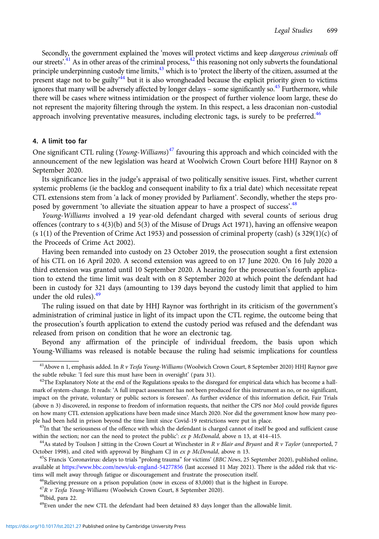Secondly, the government explained the 'moves will protect victims and keep dangerous criminals off our streets'.<sup>41</sup> As in other areas of the criminal process,<sup>42</sup> this reasoning not only subverts the foundational principle underpinning custody time limits,<sup>43</sup> which is to 'protect the liberty of the citizen, assumed at the present stage not to be guilty<sup>,44</sup> but it is also wrongheaded because the explicit priority given to victims ignores that many will be adversely affected by longer delays – some significantly so.<sup>45</sup> Furthermore, while there will be cases where witness intimidation or the prospect of further violence loom large, these do not represent the majority filtering through the system. In this respect, a less draconian non-custodial approach involving preventative measures, including electronic tags, is surely to be preferred. $46$ 

# 4. A limit too far

One significant CTL ruling (Young-Williams)<sup>47</sup> favouring this approach and which coincided with the announcement of the new legislation was heard at Woolwich Crown Court before HHJ Raynor on 8 September 2020.

Its significance lies in the judge's appraisal of two politically sensitive issues. First, whether current systemic problems (ie the backlog and consequent inability to fix a trial date) which necessitate repeat CTL extensions stem from 'a lack of money provided by Parliament'. Secondly, whether the steps proposed by government 'to alleviate the situation appear to have a prospect of success'.<sup>48</sup>

Young-Williams involved a 19 year-old defendant charged with several counts of serious drug offences (contrary to s 4(3)(b) and 5(3) of the Misuse of Drugs Act 1971), having an offensive weapon (s 1(1) of the Prevention of Crime Act 1953) and possession of criminal property (cash) (s 329(1)(c) of the Proceeds of Crime Act 2002).

Having been remanded into custody on 23 October 2019, the prosecution sought a first extension of his CTL on 16 April 2020. A second extension was agreed to on 17 June 2020. On 16 July 2020 a third extension was granted until 10 September 2020. A hearing for the prosecution's fourth application to extend the time limit was dealt with on 8 September 2020 at which point the defendant had been in custody for 321 days (amounting to 139 days beyond the custody limit that applied to him under the old rules). $49$ 

The ruling issued on that date by HHJ Raynor was forthright in its criticism of the government's administration of criminal justice in light of its impact upon the CTL regime, the outcome being that the prosecution's fourth application to extend the custody period was refused and the defendant was released from prison on condition that he wore an electronic tag.

Beyond any affirmation of the principle of individual freedom, the basis upon which Young-Williams was released is notable because the ruling had seismic implications for countless

<sup>&</sup>lt;sup>41</sup> Above n 1, emphasis added. In R v Tesfa Young-Williams (Woolwich Crown Court, 8 September 2020) HHJ Raynor gave the subtle rebuke: 'I feel sure this must have been in oversight' (para 31).<br><sup>42</sup>The Explanatory Note at the end of the Regulations speaks to the disregard for empirical data which has become a hall-

mark of system-change. It reads: 'A full impact assessment has not been produced for this instrument as no, or no significant, impact on the private, voluntary or public sectors is foreseen'. As further evidence of this information deficit, Fair Trials (above n 3) discovered, in response to freedom of information requests, that neither the CPS nor MoJ could provide figures on how many CTL extension applications have been made since March 2020. Nor did the government know how many people had been held in prison beyond the time limit since Covid-19 restrictions were put in place.<br><sup>43</sup>In that 'the seriousness of the offence with which the defendant is charged cannot of itself be good and sufficient cause

within the section; nor can the need to protect the public': ex p McDonald, above n 13, at 414–415.<br><sup>44</sup>As stated by Toulson J sitting in the Crown Court at Winchester in R v Blair and Bryant and R v Taylor (unreported, 7

October 1998), and cited with approval by Bingham CJ in ex p McDonald, above n 13.<br><sup>45</sup>S Francis 'Coronavirus: delays to trials "prolong trauma" for victims' (BBC News, 25 September 2020), published online,

available at <https://www.bbc.com/news/uk-england-54277856> (last accessed 11 May 2021). There is the added risk that victims will melt away through fatigue or discouragement and frustrate the prosecution itself.<br><sup>46</sup>Relieving pressure on a prison population (now in excess of 83,000) that is the highest in Europe.

 ${}^{47}R$  *v Tesfa Young-Williams* (Woolwich Crown Court, 8 September 2020).  ${}^{48}$ Ibid, para 22.

<sup>&</sup>lt;sup>49</sup>Even under the new CTL the defendant had been detained 83 days longer than the allowable limit.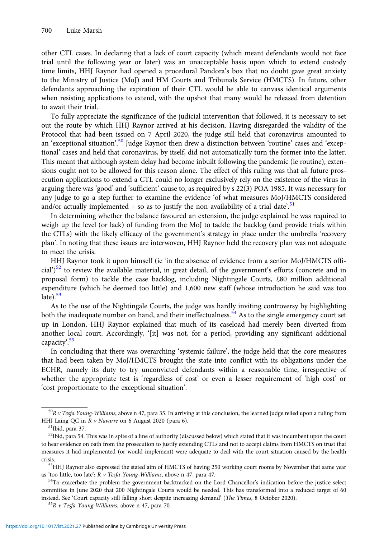other CTL cases. In declaring that a lack of court capacity (which meant defendants would not face trial until the following year or later) was an unacceptable basis upon which to extend custody time limits, HHJ Raynor had opened a procedural Pandora's box that no doubt gave great anxiety to the Ministry of Justice (MoJ) and HM Courts and Tribunals Service (HMCTS). In future, other defendants approaching the expiration of their CTL would be able to canvass identical arguments when resisting applications to extend, with the upshot that many would be released from detention to await their trial.

To fully appreciate the significance of the judicial intervention that followed, it is necessary to set out the route by which HHJ Raynor arrived at his decision. Having disregarded the validity of the Protocol that had been issued on 7 April 2020, the judge still held that coronavirus amounted to an 'exceptional situation'.<sup>50</sup> Judge Raynor then drew a distinction between 'routine' cases and 'exceptional' cases and held that coronavirus, by itself, did not automatically turn the former into the latter. This meant that although system delay had become inbuilt following the pandemic (ie routine), extensions ought not to be allowed for this reason alone. The effect of this ruling was that all future prosecution applications to extend a CTL could no longer exclusively rely on the existence of the virus in arguing there was 'good' and 'sufficient' cause to, as required by s 22(3) POA 1985. It was necessary for any judge to go a step further to examine the evidence 'of what measures MoJ/HMCTS considered and/or actually implemented - so as to justify the non-availability of a trial date'.<sup>51</sup>

In determining whether the balance favoured an extension, the judge explained he was required to weigh up the level (or lack) of funding from the MoJ to tackle the backlog (and provide trials within the CTLs) with the likely efficacy of the government's strategy in place under the umbrella 'recovery plan'. In noting that these issues are interwoven, HHJ Raynor held the recovery plan was not adequate to meet the crisis.

HHJ Raynor took it upon himself (ie 'in the absence of evidence from a senior MoJ/HMCTS official')<sup>52</sup> to review the available material, in great detail, of the government's efforts (concrete and in proposal form) to tackle the case backlog, including Nightingale Courts, £80 million additional expenditure (which he deemed too little) and 1,600 new staff (whose introduction he said was too  $late)$ .<sup>53</sup>

As to the use of the Nightingale Courts, the judge was hardly inviting controversy by highlighting both the inadequate number on hand, and their ineffectualness.<sup>54</sup> As to the single emergency court set up in London, HHJ Raynor explained that much of its caseload had merely been diverted from another local court. Accordingly, '[it] was not, for a period, providing any significant additional capacity'. 55

In concluding that there was overarching 'systemic failure', the judge held that the core measures that had been taken by MoJ/HMCTS brought the state into conflict with its obligations under the ECHR, namely its duty to try unconvicted defendants within a reasonable time, irrespective of whether the appropriate test is 'regardless of cost' or even a lesser requirement of 'high cost' or 'cost proportionate to the exceptional situation'.

 $50R$  v Tesfa Young-Williams, above n 47, para 35. In arriving at this conclusion, the learned judge relied upon a ruling from HHJ Laing QC in R v Navarre on 6 August 2020 (para 6).  $51$  Ibid, para 37.

 $52$ Ibid, para 54. This was in spite of a line of authority (discussed below) which stated that it was incumbent upon the court to hear evidence on oath from the prosecution to justify extending CTLs and not to accept claims from HMCTS on trust that measures it had implemented (or would implement) were adequate to deal with the court situation caused by the health

crisis. 53HHJ Raynor also expressed the stated aim of HMCTS of having 250 working court rooms by November that same year as 'too little, too late': R v Tesfa Young-Williams, above n 47, para 47.

 $54$ To exacerbate the problem the government backtracked on the Lord Chancellor's indication before the justice select committee in June 2020 that 200 Nightingale Courts would be needed. This has transformed into a reduced target of 60 instead. See 'Court capacity still falling short despite increasing demand' (The Times, 8 October 2020). <sup>55</sup>R v Tesfa Young-Williams, above n 47, para 70.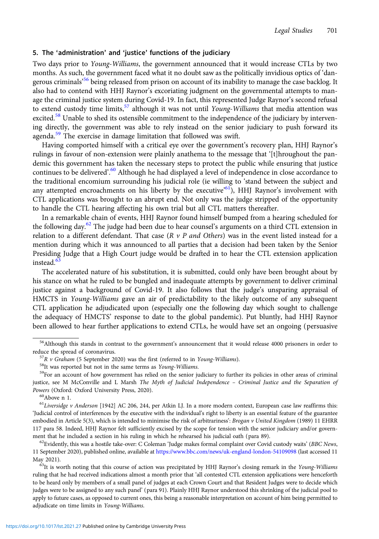### 5. The 'administration' and 'justice' functions of the judiciary

Two days prior to Young-Williams, the government announced that it would increase CTLs by two months. As such, the government faced what it no doubt saw as the politically invidious optics of 'dangerous criminals<sup>,56</sup> being released from prison on account of its inability to manage the case backlog. It also had to contend with HHJ Raynor's excoriating judgment on the governmental attempts to manage the criminal justice system during Covid-19. In fact, this represented Judge Raynor's second refusal to extend custody time limits,  $57$  although it was not until Young-Williams that media attention was excited.<sup>58</sup> Unable to shed its ostensible commitment to the independence of the judiciary by intervening directly, the government was able to rely instead on the senior judiciary to push forward its agenda.<sup>59</sup> The exercise in damage limitation that followed was swift.

Having comported himself with a critical eye over the government's recovery plan, HHJ Raynor's rulings in favour of non-extension were plainly anathema to the message that '[t]hroughout the pandemic this government has taken the necessary steps to protect the public while ensuring that justice continues to be delivered'. <sup>60</sup> Although he had displayed a level of independence in close accordance to the traditional encomium surrounding his judicial role (ie willing to 'stand between the subject and any attempted encroachments on his liberty by the executive<sup>'61</sup>), HHJ Raynor's involvement with CTL applications was brought to an abrupt end. Not only was the judge stripped of the opportunity to handle the CTL hearing affecting his own trial but all CTL matters thereafter.

In a remarkable chain of events, HHJ Raynor found himself bumped from a hearing scheduled for the following day. $62$  The judge had been due to hear counsel's arguments on a third CTL extension in relation to a different defendant. That case ( $R \nu P$  and Others) was in the event listed instead for a mention during which it was announced to all parties that a decision had been taken by the Senior Presiding Judge that a High Court judge would be drafted in to hear the CTL extension application instead.<sup>6</sup>

The accelerated nature of his substitution, it is submitted, could only have been brought about by his stance on what he ruled to be bungled and inadequate attempts by government to deliver criminal justice against a background of Covid-19. It also follows that the judge's unsparing appraisal of HMCTS in Young-Williams gave an air of predictability to the likely outcome of any subsequent CTL application he adjudicated upon (especially one the following day which sought to challenge the adequacy of HMCTS' response to date to the global pandemic). Put bluntly, had HHJ Raynor been allowed to hear further applications to extend CTLs, he would have set an ongoing (persuasive

 $^{61}$ Liversidge v Anderson [1942] AC 206, 244, per Atkin LJ. In a more modern context, European case law reaffirms this: 'Judicial control of interferences by the executive with the individual's right to liberty is an essential feature of the guarantee embodied in Article 5(3), which is intended to minimise the risk of arbitrariness': Brogan v United Kingdom (1989) 11 EHRR 117 para 58. Indeed, HHJ Raynor felt sufficiently excised by the scope for tension with the senior judiciary and/or government that he included a section in his ruling in which he rehearsed his judicial oath (para 89).<br><sup>62</sup>Evidently, this was a hostile take-over: C Coleman 'Judge makes formal complaint over Covid custody waits' (BBC News,

11 September 2020), published online, available at <https://www.bbc.com/news/uk-england-london-54109098> (last accessed 11

May 2021). 63It is worth noting that this course of action was precipitated by HHJ Raynor's closing remark in the Young-Williams ruling that he had received indications almost a month prior that 'all contested CTL extension applications were henceforth to be heard only by members of a small panel of judges at each Crown Court and that Resident Judges were to decide which judges were to be assigned to any such panel' (para 91). Plainly HHJ Raynor understood this shrinking of the judicial pool to apply to future cases, as opposed to current ones, this being a reasonable interpretation on account of him being permitted to adjudicate on time limits in Young-Williams.

<sup>&</sup>lt;sup>56</sup>Although this stands in contrast to the government's announcement that it would release 4000 prisoners in order to reduce the spread of coronavirus.<br><sup>57</sup>R *v* Graham (5 September 2020) was the first (referred to in *Young-Williams*).<br><sup>58</sup>It was reported but not in the same terms as *Young-Williams*.<br><sup>59</sup>For an account of how governmen

justice, see M McConville and L Marsh The Myth of Judicial Independence – Criminal Justice and the Separation of Powers (Oxford: Oxford University Press, 2020).<br><sup>60</sup>Above n 1.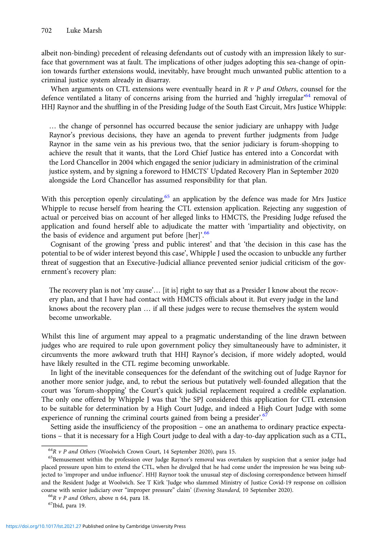albeit non-binding) precedent of releasing defendants out of custody with an impression likely to surface that government was at fault. The implications of other judges adopting this sea-change of opinion towards further extensions would, inevitably, have brought much unwanted public attention to a criminal justice system already in disarray.

When arguments on CTL extensions were eventually heard in  $R$   $\nu$   $P$  and Others, counsel for the defence ventilated a litany of concerns arising from the hurried and 'highly irregular'<sup>64</sup> removal of HHJ Raynor and the shuffling in of the Presiding Judge of the South East Circuit, Mrs Justice Whipple:

… the change of personnel has occurred because the senior judiciary are unhappy with Judge Raynor's previous decisions, they have an agenda to prevent further judgments from Judge Raynor in the same vein as his previous two, that the senior judiciary is forum-shopping to achieve the result that it wants, that the Lord Chief Justice has entered into a Concordat with the Lord Chancellor in 2004 which engaged the senior judiciary in administration of the criminal justice system, and by signing a foreword to HMCTS' Updated Recovery Plan in September 2020 alongside the Lord Chancellor has assumed responsibility for that plan.

With this perception openly circulating,<sup>65</sup> an application by the defence was made for Mrs Justice Whipple to recuse herself from hearing the CTL extension application. Rejecting any suggestion of actual or perceived bias on account of her alleged links to HMCTS, the Presiding Judge refused the application and found herself able to adjudicate the matter with 'impartiality and objectivity, on the basis of evidence and argument put before [her]'.<sup>66</sup>

Cognisant of the growing 'press and public interest' and that 'the decision in this case has the potential to be of wider interest beyond this case', Whipple J used the occasion to unbuckle any further threat of suggestion that an Executive-Judicial alliance prevented senior judicial criticism of the government's recovery plan:

The recovery plan is not 'my cause'… [it is] right to say that as a Presider I know about the recovery plan, and that I have had contact with HMCTS officials about it. But every judge in the land knows about the recovery plan … if all these judges were to recuse themselves the system would become unworkable.

Whilst this line of argument may appeal to a pragmatic understanding of the line drawn between judges who are required to rule upon government policy they simultaneously have to administer, it circumvents the more awkward truth that HHJ Raynor's decision, if more widely adopted, would have likely resulted in the CTL regime becoming unworkable.

In light of the inevitable consequences for the defendant of the switching out of Judge Raynor for another more senior judge, and, to rebut the serious but putatively well-founded allegation that the court was 'forum-shopping' the Court's quick judicial replacement required a credible explanation. The only one offered by Whipple J was that 'the SPJ considered this application for CTL extension to be suitable for determination by a High Court Judge, and indeed a High Court Judge with some experience of running the criminal courts gained from being a presider'.<sup>67</sup>

Setting aside the insufficiency of the proposition – one an anathema to ordinary practice expectations – that it is necessary for a High Court judge to deal with a day-to-day application such as a CTL,

<sup>&</sup>lt;sup>64</sup>R v P and Others (Woolwich Crown Court, 14 September 2020), para 15.<br><sup>65</sup>Bemusement within the profession over Judge Raynor's removal was overtaken by suspicion that a senior judge had placed pressure upon him to extend the CTL, when he divulged that he had come under the impression he was being subjected to 'improper and undue influence'. HHJ Raynor took the unusual step of disclosing correspondence between himself and the Resident Judge at Woolwich. See T Kirk 'Judge who slammed Ministry of Justice Covid-19 response on collision course with senior judiciary over "improper pressure" claim' (*Evening Standard*, 10 September 2020).<br><sup>66</sup>R *v P and Others*, above n 64, para 18. <sup>67</sup>Ibid, para 19.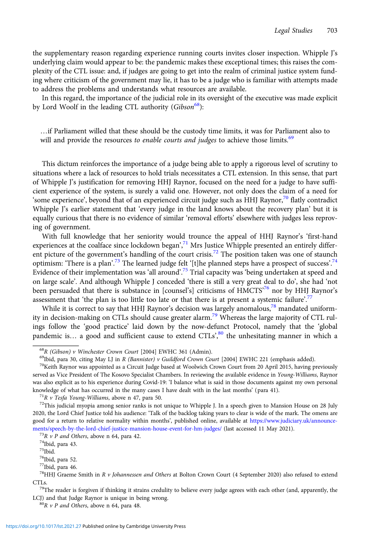the supplementary reason regarding experience running courts invites closer inspection. Whipple J's underlying claim would appear to be: the pandemic makes these exceptional times; this raises the complexity of the CTL issue: and, if judges are going to get into the realm of criminal justice system funding where criticism of the government may lie, it has to be a judge who is familiar with attempts made to address the problems and understands what resources are available.

In this regard, the importance of the judicial role in its oversight of the executive was made explicit by Lord Woolf in the leading CTL authority (Gibson<sup>68</sup>):

…if Parliament willed that these should be the custody time limits, it was for Parliament also to will and provide the resources to enable courts and judges to achieve those limits.<sup>69</sup>

This dictum reinforces the importance of a judge being able to apply a rigorous level of scrutiny to situations where a lack of resources to hold trials necessitates a CTL extension. In this sense, that part of Whipple J's justification for removing HHJ Raynor, focused on the need for a judge to have sufficient experience of the system, is surely a valid one. However, not only does the claim of a need for 'some experience', beyond that of an experienced circuit judge such as HHJ Raynor,<sup>70</sup> flatly contradict Whipple J's earlier statement that 'every judge in the land knows about the recovery plan' but it is equally curious that there is no evidence of similar 'removal efforts' elsewhere with judges less reproving of government.

With full knowledge that her seniority would trounce the appeal of HHJ Raynor's 'first-hand experiences at the coalface since lockdown began',<sup>71</sup> Mrs Justice Whipple presented an entirely different picture of the government's handling of the court crisis.<sup>72</sup> The position taken was one of staunch optimism: 'There is a plan'.<sup>73</sup> The learned judge felt '[t]he planned steps have a prospect of success'.<sup>74</sup> Evidence of their implementation was 'all around'.<sup>75</sup> Trial capacity was 'being undertaken at speed and on large scale'. And although Whipple J conceded 'there is still a very great deal to do', she had 'not been persuaded that there is substance in [counsel's] criticisms of HMCTS<sup>76</sup> nor by HHJ Raynor's assessment that 'the plan is too little too late or that there is at present a systemic failure'.<sup>77</sup>

While it is correct to say that HHJ Raynor's decision was largely anomalous,<sup>78</sup> mandated uniformity in decision-making on CTLs should cause greater alarm.<sup>79</sup> Whereas the large majority of CTL rulings follow the 'good practice' laid down by the now-defunct Protocol, namely that the 'global pandemic is... a good and sufficient cause to extend CTLs<sup>', 80</sup> the unhesitating manner in which a

<sup>&</sup>lt;sup>68</sup>R (Gibson) v Winchester Crown Court [2004] EWHC 361 (Admin).<br><sup>69</sup>Ibid, para 30, citing May LJ in R *(Bannister) v Guildford Crown Court* [2004] EWHC 221 (emphasis added).<br><sup>70</sup>Keith Raynor was appointed as a Circuit Ju served as Vice President of The Kosovo Specialist Chambers. In reviewing the available evidence in Young-Williams, Raynor was also explicit as to his experience during Covid-19: 'I balance what is said in those documents against my own personal knowledge of what has occurred in the many cases I have dealt with in the last months' (para 41).<br><sup>71</sup>R v Tesfa Young-Williams, above n 47, para 50.<br><sup>72</sup>This judicial myopia among senior ranks is not unique to Whipple J.

<sup>2020,</sup> the Lord Chief Justice told his audience: 'Talk of the backlog taking years to clear is wide of the mark. The omens are good for a return to relative normality within months', published online, available at [https://www.judiciary.uk/announce](https://www.judiciary.uk/announcements/speech-by-the-lord-chief-justice-mansion-house-event-for-hm-judges/)[ments/speech-by-the-lord-chief-justice-mansion-house-event-for-hm-judges/](https://www.judiciary.uk/announcements/speech-by-the-lord-chief-justice-mansion-house-event-for-hm-judges/) (last accessed 11 May 2021). <sup>73</sup>R *v P and Others*, above n 64, para 42. <sup>74</sup>Ibid, para 43.

<sup>75</sup>Ibid.

<sup>76</sup>Ibid, para 52.

 $^{77}\!$  Ibid, para 46.

 $78$ HHJ Graeme Smith in R v Johannessen and Others at Bolton Crown Court (4 September 2020) also refused to extend

<sup>&</sup>lt;sup>79</sup>The reader is forgiven if thinking it strains credulity to believe every judge agrees with each other (and, apparently, the LCJ) and that Judge Raynor is unique in being wrong.  ${}^{80}R$  *v P and Others*, above n 64, para 48.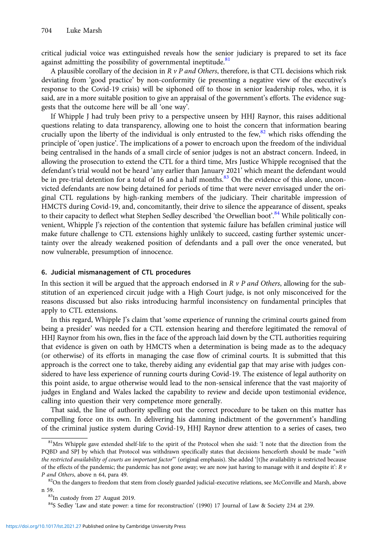critical judicial voice was extinguished reveals how the senior judiciary is prepared to set its face against admitting the possibility of governmental ineptitude. $81$ 

A plausible corollary of the decision in  $R \nu P$  and Others, therefore, is that CTL decisions which risk deviating from 'good practice' by non-conformity (ie presenting a negative view of the executive's response to the Covid-19 crisis) will be siphoned off to those in senior leadership roles, who, it is said, are in a more suitable position to give an appraisal of the government's efforts. The evidence suggests that the outcome here will be all 'one way'.

If Whipple J had truly been privy to a perspective unseen by HHJ Raynor, this raises additional questions relating to data transparency, allowing one to hoist the concern that information bearing crucially upon the liberty of the individual is only entrusted to the few,  $82$  which risks offending the principle of 'open justice'. The implications of a power to encroach upon the freedom of the individual being centralised in the hands of a small circle of senior judges is not an abstract concern. Indeed, in allowing the prosecution to extend the CTL for a third time, Mrs Justice Whipple recognised that the defendant's trial would not be heard 'any earlier than January 2021' which meant the defendant would be in pre-trial detention for a total of 16 and a half months.<sup>83</sup> On the evidence of this alone, unconvicted defendants are now being detained for periods of time that were never envisaged under the original CTL regulations by high-ranking members of the judiciary. Their charitable impression of HMCTS during Covid-19, and, concomitantly, their drive to silence the appearance of dissent, speaks to their capacity to deflect what Stephen Sedley described 'the Orwellian boot'.<sup>84</sup> While politically convenient, Whipple J's rejection of the contention that systemic failure has befallen criminal justice will make future challenge to CTL extensions highly unlikely to succeed, casting further systemic uncertainty over the already weakened position of defendants and a pall over the once venerated, but now vulnerable, presumption of innocence.

#### 6. Judicial mismanagement of CTL procedures

In this section it will be argued that the approach endorsed in  $R \nu P$  and Others, allowing for the substitution of an experienced circuit judge with a High Court judge, is not only misconceived for the reasons discussed but also risks introducing harmful inconsistency on fundamental principles that apply to CTL extensions.

In this regard, Whipple J's claim that 'some experience of running the criminal courts gained from being a presider' was needed for a CTL extension hearing and therefore legitimated the removal of HHJ Raynor from his own, flies in the face of the approach laid down by the CTL authorities requiring that evidence is given on oath by HMCTS when a determination is being made as to the adequacy (or otherwise) of its efforts in managing the case flow of criminal courts. It is submitted that this approach is the correct one to take, thereby aiding any evidential gap that may arise with judges considered to have less experience of running courts during Covid-19. The existence of legal authority on this point aside, to argue otherwise would lead to the non-sensical inference that the vast majority of judges in England and Wales lacked the capability to review and decide upon testimonial evidence, calling into question their very competence more generally.

That said, the line of authority spelling out the correct procedure to be taken on this matter has compelling force on its own. In delivering his damning indictment of the government's handling of the criminal justice system during Covid-19, HHJ Raynor drew attention to a series of cases, two

 $81$ Mrs Whipple gave extended shelf-life to the spirit of the Protocol when she said: 'I note that the direction from the PQBD and SPJ by which that Protocol was withdrawn specifically states that decisions henceforth should be made "with the restricted availability of courts an important factor" (original emphasis). She added '[t]he availability is restricted because of the effects of the pandemic; the pandemic has not gone away; we are now just having to manage with it and despite it':  $R$  v P and Others, above n 64, para 49. 820n that stem from closely guarded judicial-executive relations, see McConville and Marsh, above

n 59.<br><sup>83</sup>In custody from 27 August 2019.

<sup>&</sup>lt;sup>84</sup>S Sedley 'Law and state power: a time for reconstruction' (1990) 17 Journal of Law & Society 234 at 239.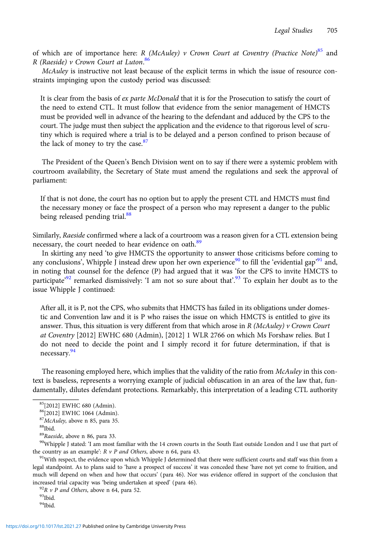of which are of importance here: R (McAuley) v Crown Court at Coventry (Practice Note)<sup>85</sup> and R (Raeside) v Crown Court at Luton.<sup>86</sup>

McAuley is instructive not least because of the explicit terms in which the issue of resource constraints impinging upon the custody period was discussed:

It is clear from the basis of ex parte McDonald that it is for the Prosecution to satisfy the court of the need to extend CTL. It must follow that evidence from the senior management of HMCTS must be provided well in advance of the hearing to the defendant and adduced by the CPS to the court. The judge must then subject the application and the evidence to that rigorous level of scrutiny which is required where a trial is to be delayed and a person confined to prison because of the lack of money to try the case. $87$ 

The President of the Queen's Bench Division went on to say if there were a systemic problem with courtroom availability, the Secretary of State must amend the regulations and seek the approval of parliament:

If that is not done, the court has no option but to apply the present CTL and HMCTS must find the necessary money or face the prospect of a person who may represent a danger to the public being released pending trial.<sup>88</sup>

Similarly, Raeside confirmed where a lack of a courtroom was a reason given for a CTL extension being necessary, the court needed to hear evidence on oath.<sup>89</sup>

In skirting any need 'to give HMCTS the opportunity to answer those criticisms before coming to any conclusions', Whipple J instead drew upon her own experience<sup>90</sup> to fill the 'evidential gap'<sup>91</sup> and, in noting that counsel for the defence (P) had argued that it was 'for the CPS to invite HMCTS to participate<sup>92</sup> remarked dismissively: 'I am not so sure about that'.<sup>93</sup> To explain her doubt as to the issue Whipple J continued:

After all, it is P, not the CPS, who submits that HMCTS has failed in its obligations under domestic and Convention law and it is P who raises the issue on which HMCTS is entitled to give its answer. Thus, this situation is very different from that which arose in  $R$  (McAuley) v Crown Court at Coventry [2012] EWHC 680 (Admin), [2012] 1 WLR 2766 on which Ms Forshaw relies. But I do not need to decide the point and I simply record it for future determination, if that is necessary.<sup>94</sup>

The reasoning employed here, which implies that the validity of the ratio from McAuley in this context is baseless, represents a worrying example of judicial obfuscation in an area of the law that, fundamentally, dilutes defendant protections. Remarkably, this interpretation of a leading CTL authority

90Whipple J stated: 'I am most familiar with the 14 crown courts in the South East outside London and I use that part of the country as an example':  $R$  v P and Others, above n 64, para 43.<br><sup>91</sup>With respect, the evidence upon which Whipple J determined that there were sufficient courts and staff was thin from a

legal standpoint. As to plans said to 'have a prospect of success' it was conceded these 'have not yet come to fruition, and much will depend on when and how that occurs' (para 46). Nor was evidence offered in support of the conclusion that increased trial capacity was 'being undertaken at speed' (para 46). <sup>92</sup>R *v P and Others*, above n 64, para 52. <sup>93</sup>Ibid.

<sup>85[2012]</sup> EWHC 680 (Admin).

<sup>86[2012]</sup> EWHC 1064 (Admin).

 $87$ McAuley, above n 85, para 35.<br> $88$ Ibid.<br> $89$ Raeside, above n 86, para 33.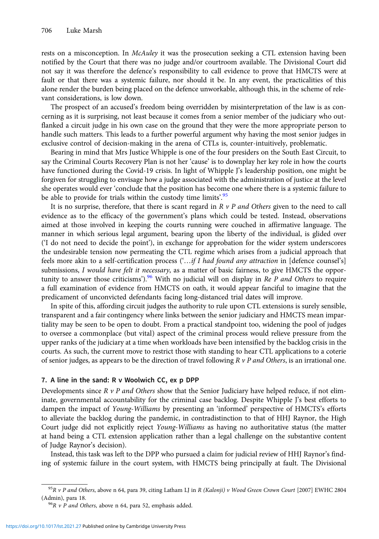rests on a misconception. In McAuley it was the prosecution seeking a CTL extension having been notified by the Court that there was no judge and/or courtroom available. The Divisional Court did not say it was therefore the defence's responsibility to call evidence to prove that HMCTS were at fault or that there was a systemic failure, nor should it be. In any event, the practicalities of this alone render the burden being placed on the defence unworkable, although this, in the scheme of relevant considerations, is low down.

The prospect of an accused's freedom being overridden by misinterpretation of the law is as concerning as it is surprising, not least because it comes from a senior member of the judiciary who outflanked a circuit judge in his own case on the ground that they were the more appropriate person to handle such matters. This leads to a further powerful argument why having the most senior judges in exclusive control of decision-making in the arena of CTLs is, counter-intuitively, problematic.

Bearing in mind that Mrs Justice Whipple is one of the four presiders on the South East Circuit, to say the Criminal Courts Recovery Plan is not her 'cause' is to downplay her key role in how the courts have functioned during the Covid-19 crisis. In light of Whipple J's leadership position, one might be forgiven for struggling to envisage how a judge associated with the administration of justice at the level she operates would ever 'conclude that the position has become one where there is a systemic failure to be able to provide for trials within the custody time limits'.<sup>95</sup>

It is no surprise, therefore, that there is scant regard in  $R \vee P$  and Others given to the need to call evidence as to the efficacy of the government's plans which could be tested. Instead, observations aimed at those involved in keeping the courts running were couched in affirmative language. The manner in which serious legal argument, bearing upon the liberty of the individual, is glided over ('I do not need to decide the point'), in exchange for approbation for the wider system underscores the undesirable tension now permeating the CTL regime which arises from a judicial approach that feels more akin to a self-certification process ('...if I had found any attraction in [defence counsel's] submissions, I would have felt it necessary, as a matter of basic fairness, to give HMCTS the opportunity to answer those criticisms').<sup>96</sup> With no judicial will on display in Re P and Others to require a full examination of evidence from HMCTS on oath, it would appear fanciful to imagine that the predicament of unconvicted defendants facing long-distanced trial dates will improve.

In spite of this, affording circuit judges the authority to rule upon CTL extensions is surely sensible, transparent and a fair contingency where links between the senior judiciary and HMCTS mean impartiality may be seen to be open to doubt. From a practical standpoint too, widening the pool of judges to oversee a commonplace (but vital) aspect of the criminal process would relieve pressure from the upper ranks of the judiciary at a time when workloads have been intensified by the backlog crisis in the courts. As such, the current move to restrict those with standing to hear CTL applications to a coterie of senior judges, as appears to be the direction of travel following  $R \nu P$  and Others, is an irrational one.

#### 7. A line in the sand: R v Woolwich CC, ex p DPP

Developments since  $R$  v P and Others show that the Senior Judiciary have helped reduce, if not eliminate, governmental accountability for the criminal case backlog. Despite Whipple J's best efforts to dampen the impact of Young-Williams by presenting an 'informed' perspective of HMCTS's efforts to alleviate the backlog during the pandemic, in contradistinction to that of HHJ Raynor, the High Court judge did not explicitly reject Young-Williams as having no authoritative status (the matter at hand being a CTL extension application rather than a legal challenge on the substantive content of Judge Raynor's decision).

Instead, this task was left to the DPP who pursued a claim for judicial review of HHJ Raynor's finding of systemic failure in the court system, with HMCTS being principally at fault. The Divisional

 $95R$  v P and Others, above n 64, para 39, citing Latham LJ in R (Kalonji) v Wood Green Crown Court [2007] EWHC 2804 (Admin), para 18.  $^{96}R$  *v P and Others*, above n 64, para 52, emphasis added.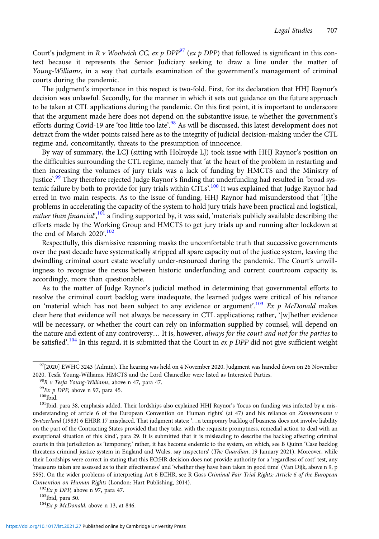Court's judgment in R v Woolwich CC, ex p DPP<sup>97</sup> (ex p DPP) that followed is significant in this context because it represents the Senior Judiciary seeking to draw a line under the matter of Young-Williams, in a way that curtails examination of the government's management of criminal courts during the pandemic.

The judgment's importance in this respect is two-fold. First, for its declaration that HHJ Raynor's decision was unlawful. Secondly, for the manner in which it sets out guidance on the future approach to be taken at CTL applications during the pandemic. On this first point, it is important to underscore that the argument made here does not depend on the substantive issue, ie whether the government's efforts during Covid-19 are 'too little too late'.<sup>98</sup> As will be discussed, this latest development does not detract from the wider points raised here as to the integrity of judicial decision-making under the CTL regime and, concomitantly, threats to the presumption of innocence.

By way of summary, the LCJ (sitting with Holroyde LJ) took issue with HHJ Raynor's position on the difficulties surrounding the CTL regime, namely that 'at the heart of the problem in restarting and then increasing the volumes of jury trials was a lack of funding by HMCTS and the Ministry of Justice'.<sup>99</sup> They therefore rejected Judge Raynor's finding that underfunding had resulted in 'broad systemic failure by both to provide for jury trials within CTLs'.<sup>100</sup> It was explained that Judge Raynor had erred in two main respects. As to the issue of funding, HHJ Raynor had misunderstood that '[t]he problems in accelerating the capacity of the system to hold jury trials have been practical and logistical, rather than financial<sup>", 101</sup> a finding supported by, it was said, 'materials publicly available describing the efforts made by the Working Group and HMCTS to get jury trials up and running after lockdown at the end of March 2020'.<sup>102</sup>

Respectfully, this dismissive reasoning masks the uncomfortable truth that successive governments over the past decade have systematically stripped all spare capacity out of the justice system, leaving the dwindling criminal court estate woefully under-resourced during the pandemic. The Court's unwillingness to recognise the nexus between historic underfunding and current courtroom capacity is, accordingly, more than questionable.

As to the matter of Judge Raynor's judicial method in determining that governmental efforts to resolve the criminal court backlog were inadequate, the learned judges were critical of his reliance on 'material which has not been subject to any evidence or argument'.<sup>103</sup> Ex p McDonald makes clear here that evidence will not always be necessary in CTL applications; rather, '[w]hether evidence will be necessary, or whether the court can rely on information supplied by counsel, will depend on the nature and extent of any controversy... It is, however, always for the court and not for the parties to be satisfied'.<sup>104</sup> In this regard, it is submitted that the Court in  $ex$  p DPP did not give sufficient weight

 $97$ [2020] EWHC 3243 (Admin). The hearing was held on 4 November 2020. Judgment was handed down on 26 November

<sup>2020.</sup> Tesfa Young-Williams, HMCTS and the Lord Chancellor were listed as Interested Parties.<br><sup>98</sup>R *v Tesfa Young-Williams*, above n 47, para 47.<br><sup>99</sup>Ex *p DPP*, above n 97, para 45.<br><sup>100</sup>Ibid. para 38, emphasis added. Th understanding of article 6 of the European Convention on Human rights' (at 47) and his reliance on Zimmermann v Switzerland (1983) 6 EHRR 17 misplaced. That judgment states: '…a temporary backlog of business does not involve liability on the part of the Contracting States provided that they take, with the requisite promptness, remedial action to deal with an exceptional situation of this kind', para 29. It is submitted that it is misleading to describe the backlog affecting criminal courts in this jurisdiction as 'temporary;' rather, it has become endemic to the system, on which, see B Quinn 'Case backlog threatens criminal justice system in England and Wales, say inspectors' (The Guardian, 19 January 2021). Moreover, while their Lordships were correct in stating that this ECtHR decision does not provide authority for a 'regardless of cost' test, any 'measures taken are assessed as to their effectiveness' and 'whether they have been taken in good time' (Van Dijk, above n 9, p 595). On the wider problems of interpreting Art 6 ECHR, see R Goss Criminal Fair Trial Rights: Article 6 of the European Convention on Human Rights (London: Hart Publishing, 2014).<br><sup>102</sup>Ex p DPP, above n 97, para 47.<br><sup>103</sup>Ibid, para 50. <sup>104</sup>Ex p McDonald, above n 13, at 846.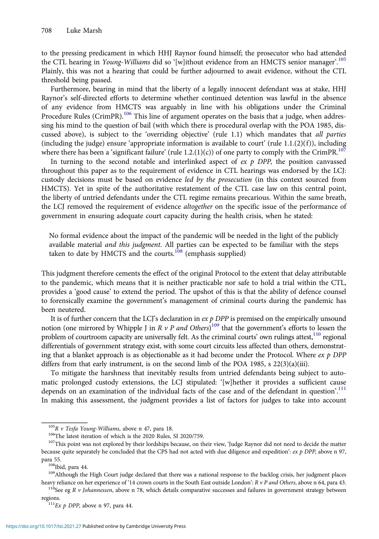to the pressing predicament in which HHJ Raynor found himself; the prosecutor who had attended the CTL hearing in *Young-Williams* did so '[w]ithout evidence from an HMCTS senior manager'.<sup>105</sup> Plainly, this was not a hearing that could be further adjourned to await evidence, without the CTL threshold being passed.

Furthermore, bearing in mind that the liberty of a legally innocent defendant was at stake, HHJ Raynor's self-directed efforts to determine whether continued detention was lawful in the absence of any evidence from HMCTS was arguably in line with his obligations under the Criminal Procedure Rules (CrimPR).<sup>106</sup> This line of argument operates on the basis that a judge, when addressing his mind to the question of bail (with which there is procedural overlap with the POA 1985, discussed above), is subject to the 'overriding objective' (rule 1.1) which mandates that all parties (including the judge) ensure 'appropriate information is available to court' (rule  $1.1.(2)(f)$ ), including where there has been a 'significant failure' (rule 1.2.(1)(c)) of one party to comply with the CrimPR.<sup>107</sup>

In turning to the second notable and interlinked aspect of  $ex$  p DPP, the position canvassed throughout this paper as to the requirement of evidence in CTL hearings was endorsed by the LCJ: custody decisions must be based on evidence led by the prosecution (in this context sourced from HMCTS). Yet in spite of the authoritative restatement of the CTL case law on this central point, the liberty of untried defendants under the CTL regime remains precarious. Within the same breath, the LCJ removed the requirement of evidence *altogether* on the specific issue of the performance of government in ensuring adequate court capacity during the health crisis, when he stated:

No formal evidence about the impact of the pandemic will be needed in the light of the publicly available material *and this judgment*. All parties can be expected to be familiar with the steps taken to date by HMCTS and the courts. $108$  (emphasis supplied)

This judgment therefore cements the effect of the original Protocol to the extent that delay attributable to the pandemic, which means that it is neither practicable nor safe to hold a trial within the CTL, provides a 'good cause' to extend the period. The upshot of this is that the ability of defence counsel to forensically examine the government's management of criminal courts during the pandemic has been neutered.

It is of further concern that the LCJ's declaration in  $ex$  p DPP is premised on the empirically unsound notion (one mirrored by Whipple J in R v P and Others)<sup>109</sup> that the government's efforts to lessen the problem of courtroom capacity are universally felt. As the criminal courts' own rulings attest, $110$  regional differentials of government strategy exist, with some court circuits less affected than others, demonstrating that a blanket approach is as objectionable as it had become under the Protocol. Where  $ex$   $p$  DPP differs from that early instrument, is on the second limb of the POA 1985, s  $22(3)(a)(iii)$ .

To mitigate the harshness that inevitably results from untried defendants being subject to automatic prolonged custody extensions, the LCJ stipulated: '[w]hether it provides a sufficient cause depends on an examination of the individual facts of the case and of the defendant in question'.<sup>111</sup> In making this assessment, the judgment provides a list of factors for judges to take into account

<sup>&</sup>lt;sup>105</sup>R *v* Tesfa Young-Williams, above n 47, para 18.<br><sup>106</sup>The latest iteration of which is the 2020 Rules, SI 2020/759.<br><sup>107</sup>This point was not explored by their lordships because, on their view, 'Judge Raynor did not ne because quite separately he concluded that the CPS had not acted with due diligence and expedition':  $ex$  p DPP, above n 97,

para 55.<br><sup>108</sup>Ibid, para 44.<br><sup>109</sup>Although the High Court judge declared that there was a national response to the backlog crisis, her judgment places heavy reliance on her experience of '14 crown courts in the South East outside London':  $R v P$  and Others, above n 64, para 43.<br><sup>110</sup>See eg R v Johannessen, above n 78, which details comparative successes and failures in g

regions.<br> $111_{Ex} p$  DPP, above n 97, para 44.